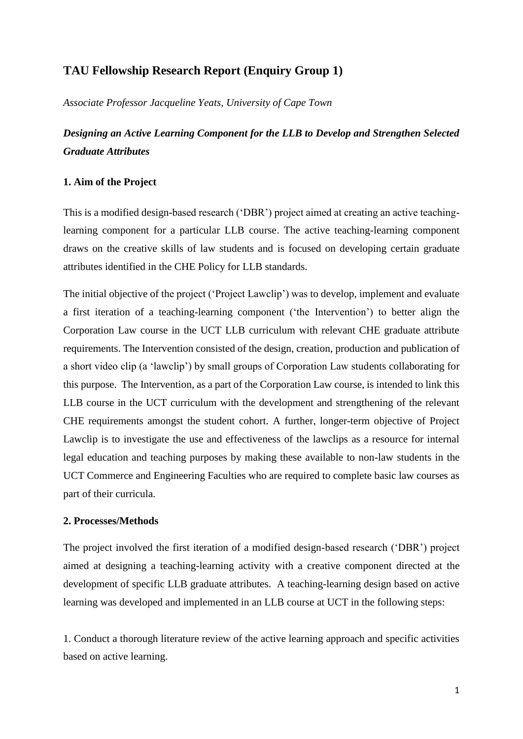# **TAU Fellowship Research Report (Enquiry Group 1)**

*Associate Professor Jacqueline Yeats, University of Cape Town*

*Designing an Active Learning Component for the LLB to Develop and Strengthen Selected Graduate Attributes*

## **1. Aim of the Project**

This is a modified design-based research ('DBR') project aimed at creating an active teachinglearning component for a particular LLB course. The active teaching-learning component draws on the creative skills of law students and is focused on developing certain graduate attributes identified in the CHE Policy for LLB standards.

The initial objective of the project ('Project Lawclip') was to develop, implement and evaluate a first iteration of a teaching-learning component ('the Intervention') to better align the Corporation Law course in the UCT LLB curriculum with relevant CHE graduate attribute requirements. The Intervention consisted of the design, creation, production and publication of a short video clip (a 'lawclip') by small groups of Corporation Law students collaborating for this purpose. The Intervention, as a part of the Corporation Law course, is intended to link this LLB course in the UCT curriculum with the development and strengthening of the relevant CHE requirements amongst the student cohort. A further, longer-term objective of Project Lawclip is to investigate the use and effectiveness of the lawclips as a resource for internal legal education and teaching purposes by making these available to non-law students in the UCT Commerce and Engineering Faculties who are required to complete basic law courses as part of their curricula.

## **2. Processes/Methods**

The project involved the first iteration of a modified design-based research ('DBR') project aimed at designing a teaching-learning activity with a creative component directed at the development of specific LLB graduate attributes. A teaching-learning design based on active learning was developed and implemented in an LLB course at UCT in the following steps:

1. Conduct a thorough literature review of the active learning approach and specific activities based on active learning.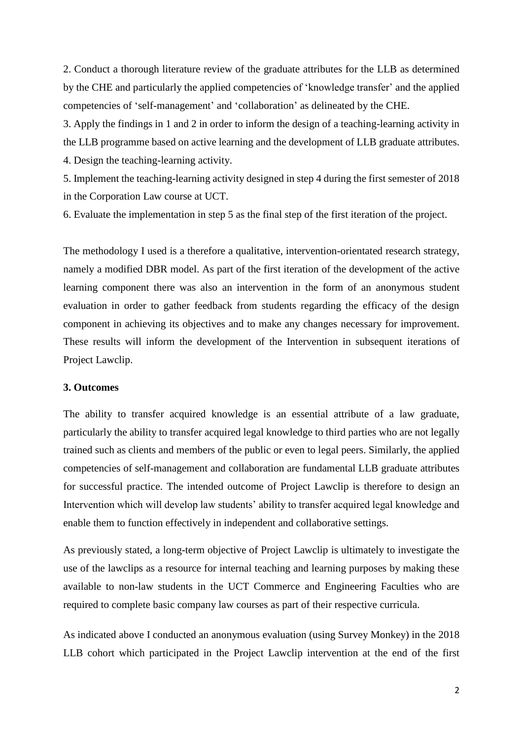2. Conduct a thorough literature review of the graduate attributes for the LLB as determined by the CHE and particularly the applied competencies of 'knowledge transfer' and the applied competencies of 'self-management' and 'collaboration' as delineated by the CHE.

3. Apply the findings in 1 and 2 in order to inform the design of a teaching-learning activity in the LLB programme based on active learning and the development of LLB graduate attributes. 4. Design the teaching-learning activity.

5. Implement the teaching-learning activity designed in step 4 during the first semester of 2018 in the Corporation Law course at UCT.

6. Evaluate the implementation in step 5 as the final step of the first iteration of the project.

The methodology I used is a therefore a qualitative, intervention-orientated research strategy, namely a modified DBR model. As part of the first iteration of the development of the active learning component there was also an intervention in the form of an anonymous student evaluation in order to gather feedback from students regarding the efficacy of the design component in achieving its objectives and to make any changes necessary for improvement. These results will inform the development of the Intervention in subsequent iterations of Project Lawclip.

#### **3. Outcomes**

The ability to transfer acquired knowledge is an essential attribute of a law graduate, particularly the ability to transfer acquired legal knowledge to third parties who are not legally trained such as clients and members of the public or even to legal peers. Similarly, the applied competencies of self-management and collaboration are fundamental LLB graduate attributes for successful practice. The intended outcome of Project Lawclip is therefore to design an Intervention which will develop law students' ability to transfer acquired legal knowledge and enable them to function effectively in independent and collaborative settings.

As previously stated, a long-term objective of Project Lawclip is ultimately to investigate the use of the lawclips as a resource for internal teaching and learning purposes by making these available to non-law students in the UCT Commerce and Engineering Faculties who are required to complete basic company law courses as part of their respective curricula.

As indicated above I conducted an anonymous evaluation (using Survey Monkey) in the 2018 LLB cohort which participated in the Project Lawclip intervention at the end of the first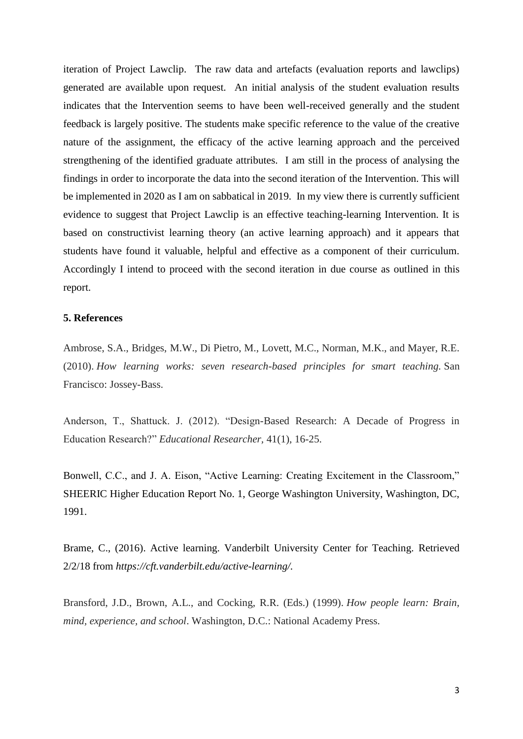iteration of Project Lawclip. The raw data and artefacts (evaluation reports and lawclips) generated are available upon request. An initial analysis of the student evaluation results indicates that the Intervention seems to have been well-received generally and the student feedback is largely positive. The students make specific reference to the value of the creative nature of the assignment, the efficacy of the active learning approach and the perceived strengthening of the identified graduate attributes. I am still in the process of analysing the findings in order to incorporate the data into the second iteration of the Intervention. This will be implemented in 2020 as I am on sabbatical in 2019. In my view there is currently sufficient evidence to suggest that Project Lawclip is an effective teaching-learning Intervention. It is based on constructivist learning theory (an active learning approach) and it appears that students have found it valuable, helpful and effective as a component of their curriculum. Accordingly I intend to proceed with the second iteration in due course as outlined in this report.

#### **5. References**

Ambrose, S.A., Bridges, M.W., Di Pietro, M., Lovett, M.C., Norman, M.K., and Mayer, R.E. (2010). *How learning works: seven research-based principles for smart teaching.* San Francisco: Jossey-Bass.

Anderson, T., Shattuck. J. (2012). "Design-Based Research: A Decade of Progress in Education Research?" *Educational Researcher,* 41(1), 16-25.

Bonwell, C.C., and J. A. Eison, "Active Learning: Creating Excitement in the Classroom," SHEERIC Higher Education Report No. 1, George Washington University, Washington, DC, 1991.

Brame, C., (2016). Active learning. Vanderbilt University Center for Teaching. Retrieved 2/2/18 from *https://cft.vanderbilt.edu/active-learning/.*

Bransford, J.D., Brown, A.L., and Cocking, R.R. (Eds.) (1999). *How people learn: Brain, mind, experience, and school*. Washington, D.C.: National Academy Press.